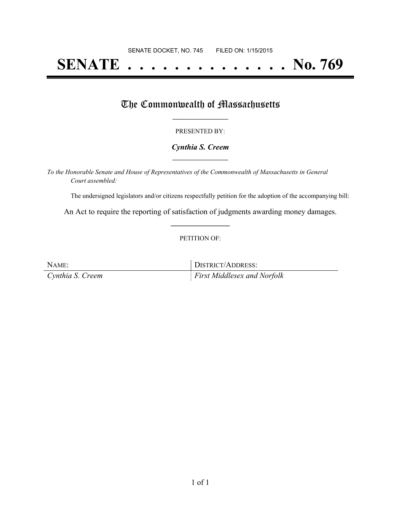# **SENATE . . . . . . . . . . . . . . No. 769**

## The Commonwealth of Massachusetts

#### PRESENTED BY:

#### *Cynthia S. Creem* **\_\_\_\_\_\_\_\_\_\_\_\_\_\_\_\_\_**

*To the Honorable Senate and House of Representatives of the Commonwealth of Massachusetts in General Court assembled:*

The undersigned legislators and/or citizens respectfully petition for the adoption of the accompanying bill:

An Act to require the reporting of satisfaction of judgments awarding money damages. **\_\_\_\_\_\_\_\_\_\_\_\_\_\_\_**

#### PETITION OF:

| NAME:            | DISTRICT/ADDRESS:                  |
|------------------|------------------------------------|
| Cynthia S. Creem | <i>First Middlesex and Norfolk</i> |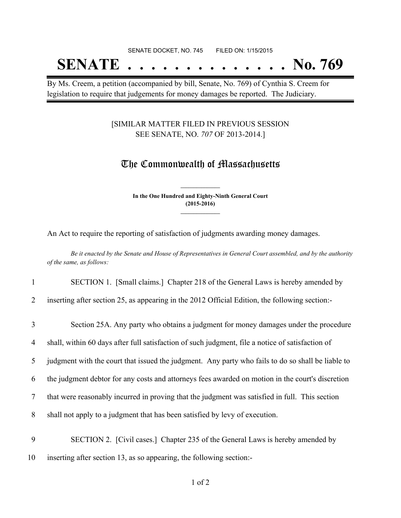# SENATE DOCKET, NO. 745 FILED ON: 1/15/2015 **SENATE . . . . . . . . . . . . . . No. 769**

By Ms. Creem, a petition (accompanied by bill, Senate, No. 769) of Cynthia S. Creem for legislation to require that judgements for money damages be reported. The Judiciary.

#### [SIMILAR MATTER FILED IN PREVIOUS SESSION SEE SENATE, NO. *707* OF 2013-2014.]

## The Commonwealth of Massachusetts

**In the One Hundred and Eighty-Ninth General Court (2015-2016) \_\_\_\_\_\_\_\_\_\_\_\_\_\_\_**

**\_\_\_\_\_\_\_\_\_\_\_\_\_\_\_**

An Act to require the reporting of satisfaction of judgments awarding money damages.

Be it enacted by the Senate and House of Representatives in General Court assembled, and by the authority *of the same, as follows:*

#### 1 SECTION 1. [Small claims.] Chapter 218 of the General Laws is hereby amended by

2 inserting after section 25, as appearing in the 2012 Official Edition, the following section:-

| 3 | Section 25A. Any party who obtains a judgment for money damages under the procedure               |
|---|---------------------------------------------------------------------------------------------------|
| 4 | shall, within 60 days after full satisfaction of such judgment, file a notice of satisfaction of  |
| 5 | judgment with the court that issued the judgment. Any party who fails to do so shall be liable to |
| 6 | the judgment debtor for any costs and attorneys fees awarded on motion in the court's discretion  |
| 7 | that were reasonably incurred in proving that the judgment was satisfied in full. This section    |
| 8 | shall not apply to a judgment that has been satisfied by levy of execution.                       |
| 9 | SECTION 2. [Civil cases.] Chapter 235 of the General Laws is hereby amended by                    |

10 inserting after section 13, as so appearing, the following section:-